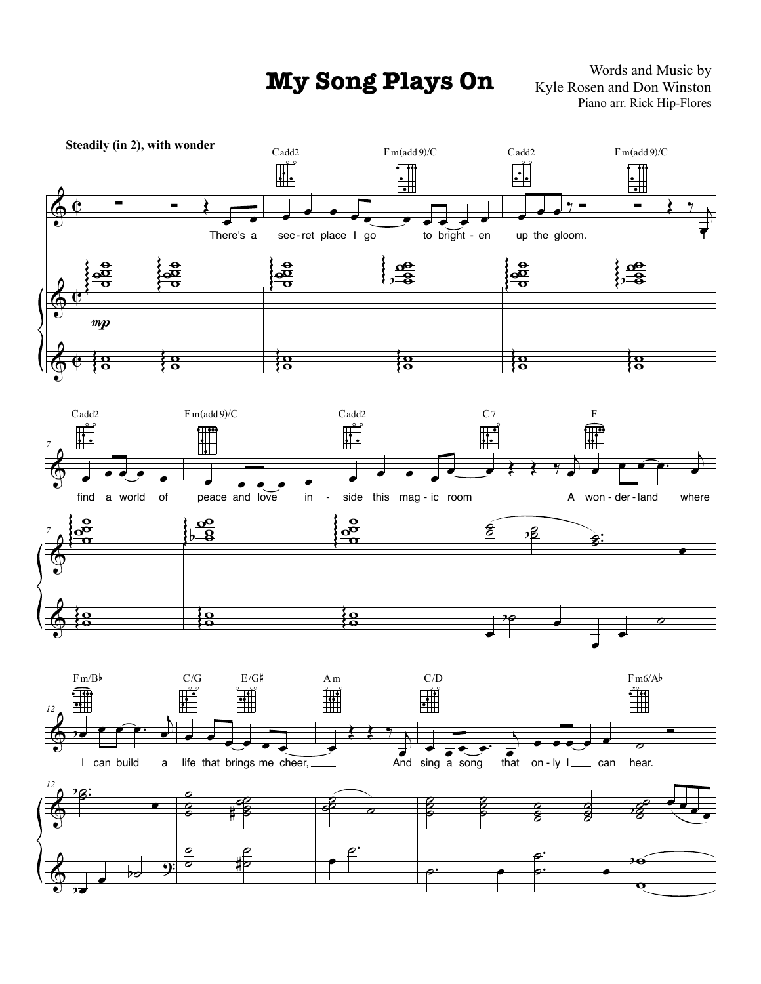**My Song Plays On** Words and Music by Kyle Rosen and Don Winston Piano arr. Rick Hip-Flores

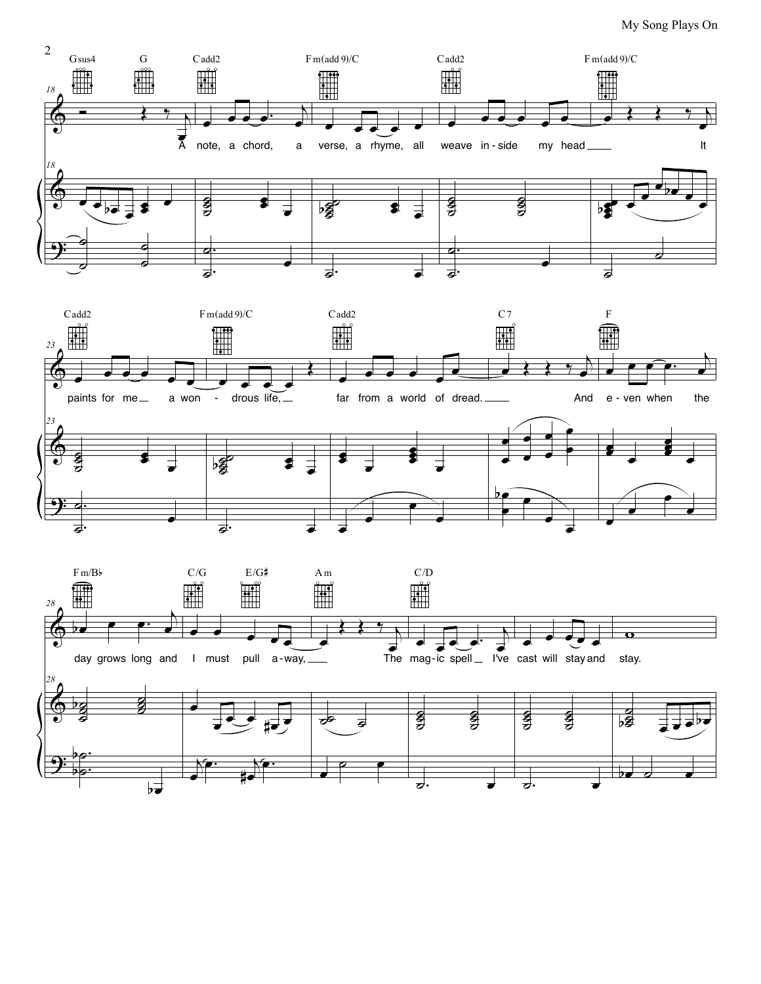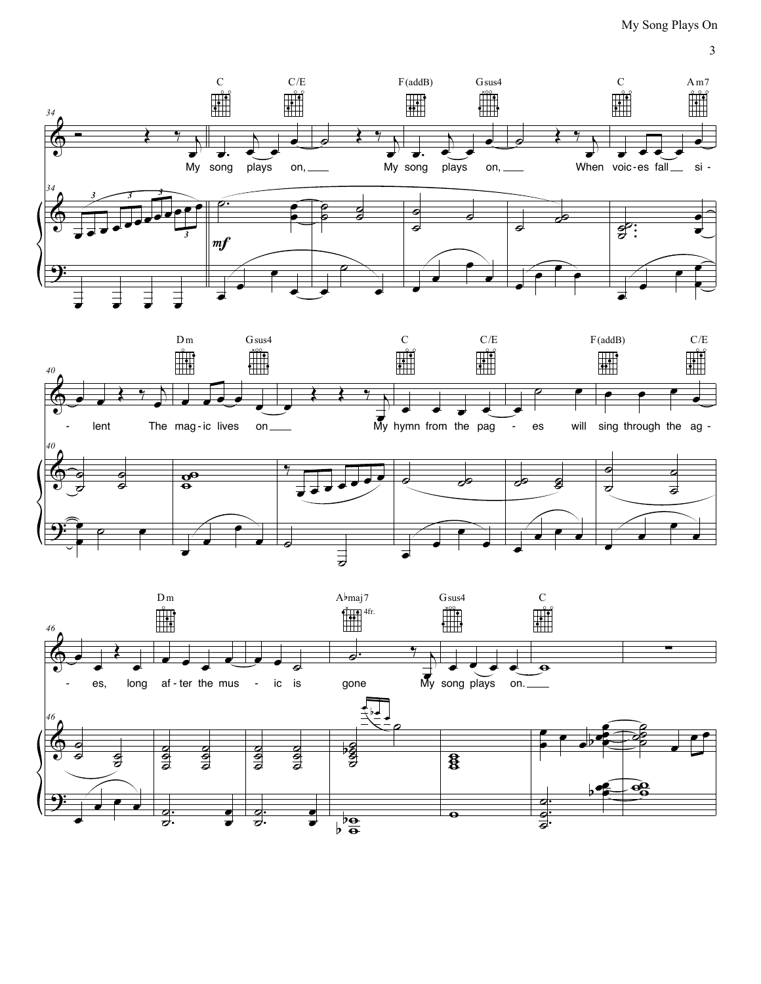$\mathfrak{Z}$ 





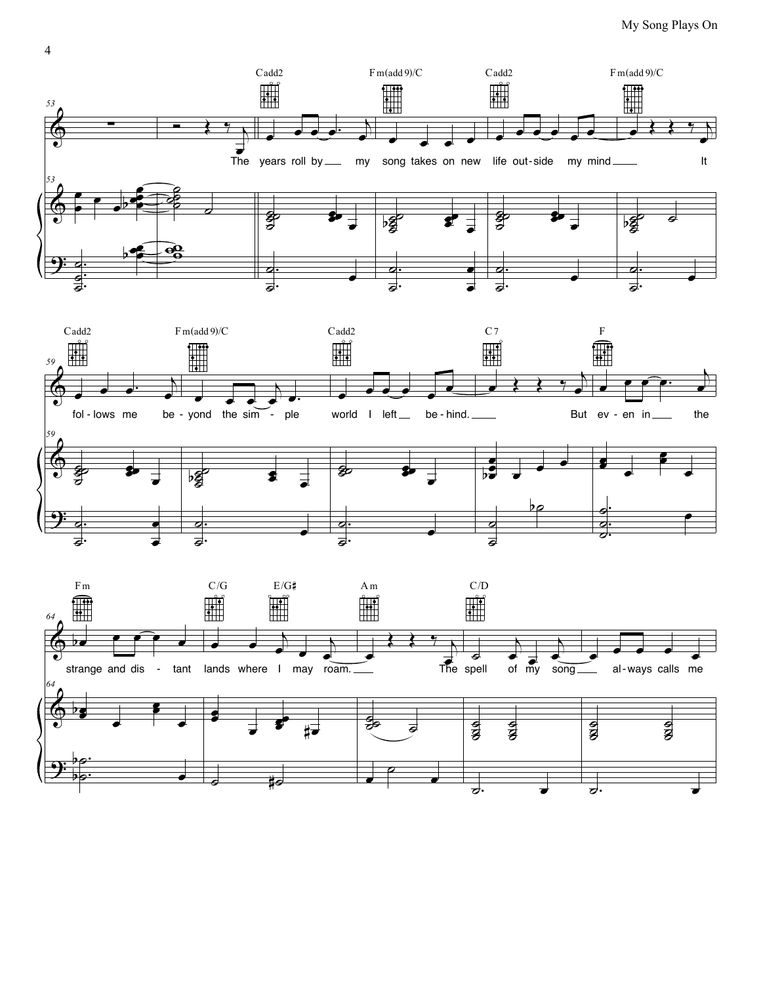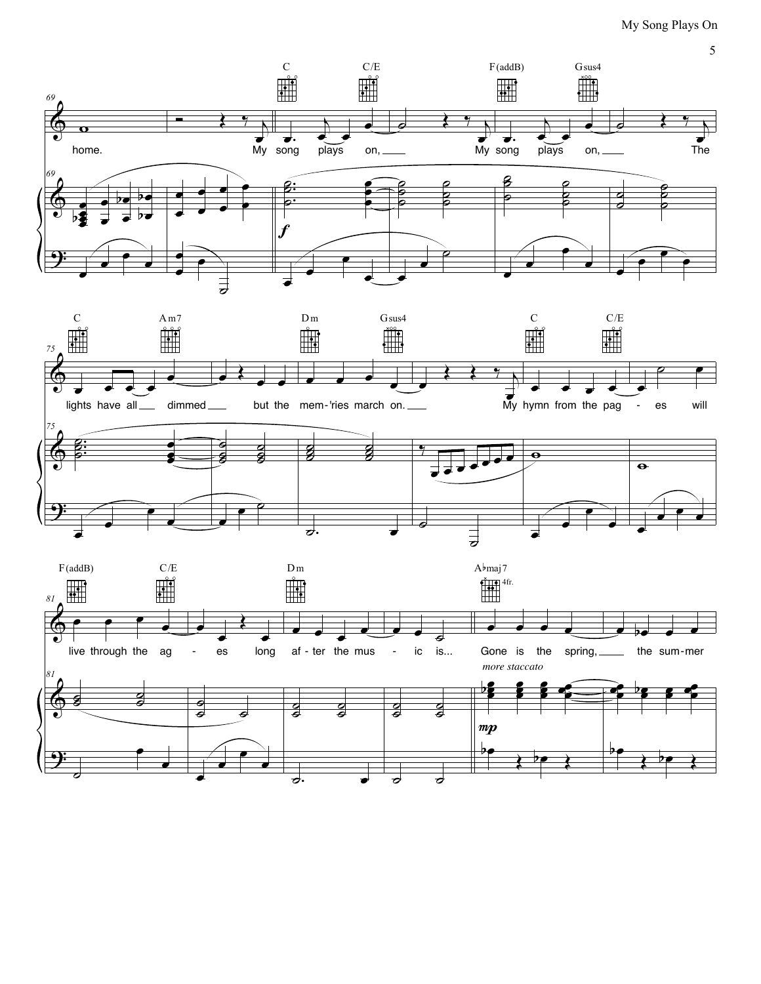

5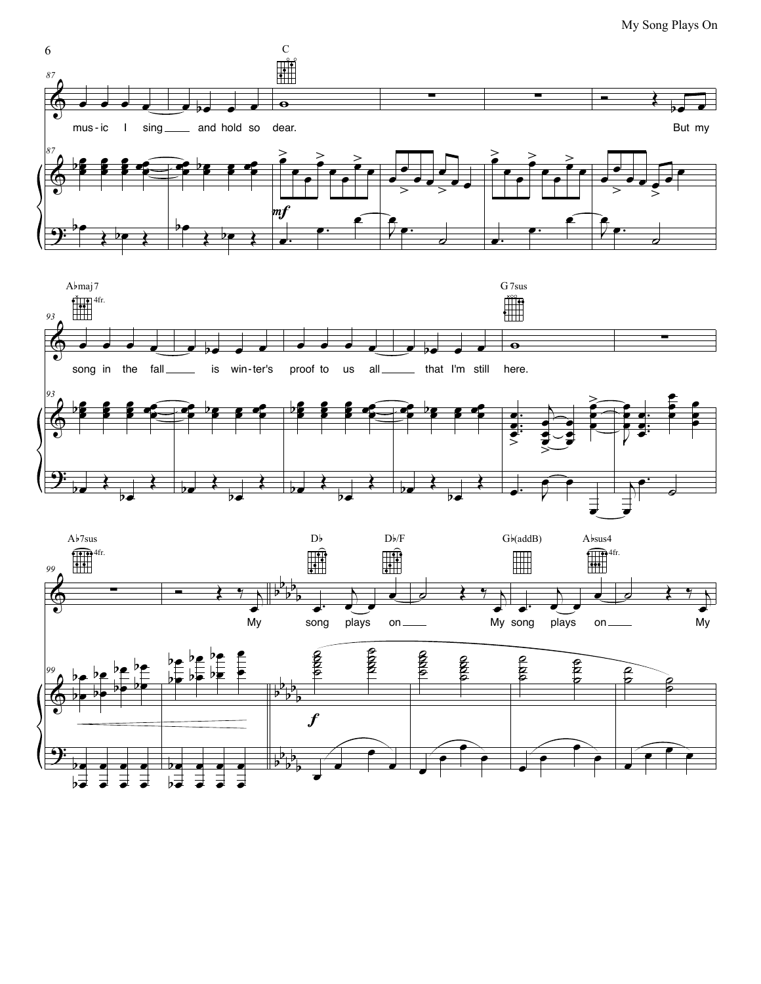





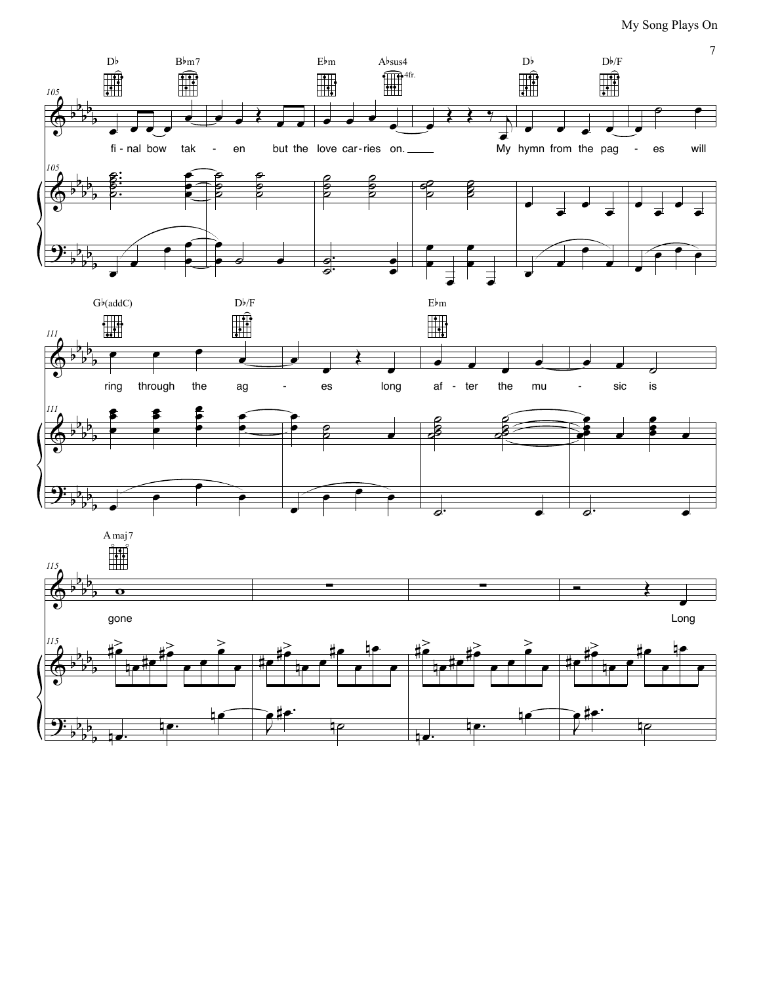